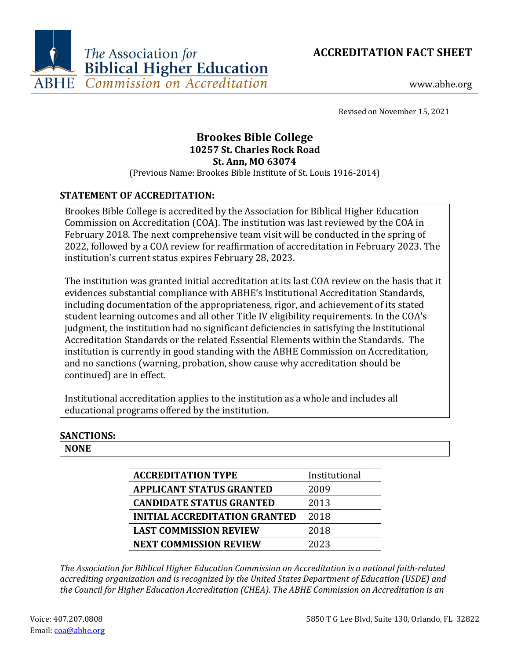



www.abhe.org

Revised on November 15, 2021

# **Brookes Bible College 10257 St. Charles Rock Road St. Ann, MO 63074**

(Previous Name: Brookes Bible Institute of St. Louis 1916-2014)

## **STATEMENT OF ACCREDITATION:**

Brookes Bible College is accredited by the Association for Biblical Higher Education Commission on Accreditation (COA). The institution was last reviewed by the COA in February 2018. The next comprehensive team visit will be conducted in the spring of 2022, followed by a COA review for reaffirmation of accreditation in February 2023. The institution's current status expires February 28, 2023.

The institution was granted initial accreditation at its last COA review on the basis that it evidences substantial compliance with ABHE's Institutional Accreditation Standards, including documentation of the appropriateness, rigor, and achievement of its stated student learning outcomes and all other Title IV eligibility requirements. In the COA's judgment, the institution had no significant deficiencies in satisfying the Institutional Accreditation Standards or the related Essential Elements within the Standards. The institution is currently in good standing with the ABHE Commission on Accreditation, and no sanctions (warning, probation, show cause why accreditation should be continued) are in effect.

Institutional accreditation applies to the institution as a whole and includes all educational programs offered by the institution.

### **SANCTIONS:**

**NONE**

| <b>ACCREDITATION TYPE</b>            | Institutional |
|--------------------------------------|---------------|
| <b>APPLICANT STATUS GRANTED</b>      | 2009          |
| <b>CANDIDATE STATUS GRANTED</b>      | 2013          |
| <b>INITIAL ACCREDITATION GRANTED</b> | 2018          |
| <b>LAST COMMISSION REVIEW</b>        | 2018          |
| <b>NEXT COMMISSION REVIEW</b>        | 2023          |

*The Association for Biblical Higher Education Commission on Accreditation is a national faith-related accrediting organization and is recognized by the United States Department of Education (USDE) and the Council for Higher Education Accreditation (CHEA). The ABHE Commission on Accreditation is an*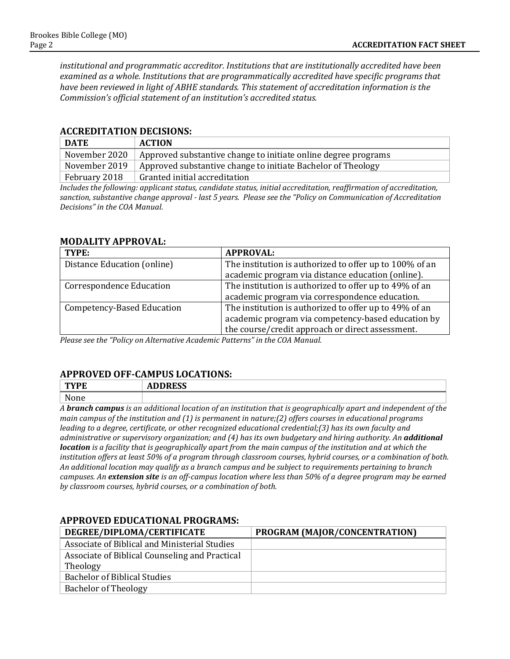*institutional and programmatic accreditor. Institutions that are institutionally accredited have been examined as a whole. Institutions that are programmatically accredited have specific programs that have been reviewed in light of ABHE standards. This statement of accreditation information is the Commission's official statement of an institution's accredited status.*

#### **ACCREDITATION DECISIONS:**

| <b>DATE</b>   | <b>ACTION</b>                                                  |
|---------------|----------------------------------------------------------------|
| November 2020 | Approved substantive change to initiate online degree programs |
| November 2019 | Approved substantive change to initiate Bachelor of Theology   |
| February 2018 | Granted initial accreditation                                  |

*Includes the following: applicant status, candidate status, initial accreditation, reaffirmation of accreditation, sanction, substantive change approval - last 5 years. Please see the "Policy on Communication of Accreditation Decisions" in the COA Manual.*

#### **MODALITY APPROVAL:**

| TYPE:                             | <b>APPROVAL:</b>                                        |
|-----------------------------------|---------------------------------------------------------|
| Distance Education (online)       | The institution is authorized to offer up to 100% of an |
|                                   | academic program via distance education (online).       |
| <b>Correspondence Education</b>   | The institution is authorized to offer up to 49% of an  |
|                                   | academic program via correspondence education.          |
| <b>Competency-Based Education</b> | The institution is authorized to offer up to 49% of an  |
|                                   | academic program via competency-based education by      |
|                                   | the course/credit approach or direct assessment.        |

*Please see the "Policy on Alternative Academic Patterns" in the COA Manual.*

#### **APPROVED OFF-CAMPUS LOCATIONS:**

| $-$<br>- 14<br>----                   | $\mathbf{R}$<br>ADDINEJJ |
|---------------------------------------|--------------------------|
| $\rightarrow$<br>$\sim$ $\sim$ $\sim$ |                          |

*A branch campus is an additional location of an institution that is geographically apart and independent of the main campus of the institution and (1) is permanent in nature;(2) offers courses in educational programs leading to a degree, certificate, or other recognized educational credential;(3) has its own faculty and administrative or supervisory organization; and (4) has its own budgetary and hiring authority. An additional location is a facility that is geographically apart from the main campus of the institution and at which the institution offers at least 50% of a program through classroom courses, hybrid courses, or a combination of both. An additional location may qualify as a branch campus and be subject to requirements pertaining to branch campuses. An extension site is an off-campus location where less than 50% of a degree program may be earned by classroom courses, hybrid courses, or a combination of both.*

#### **APPROVED EDUCATIONAL PROGRAMS:**

| DEGREE/DIPLOMA/CERTIFICATE                     | PROGRAM (MAJOR/CONCENTRATION) |
|------------------------------------------------|-------------------------------|
| Associate of Biblical and Ministerial Studies  |                               |
| Associate of Biblical Counseling and Practical |                               |
| Theology                                       |                               |
| <b>Bachelor of Biblical Studies</b>            |                               |
| <b>Bachelor of Theology</b>                    |                               |